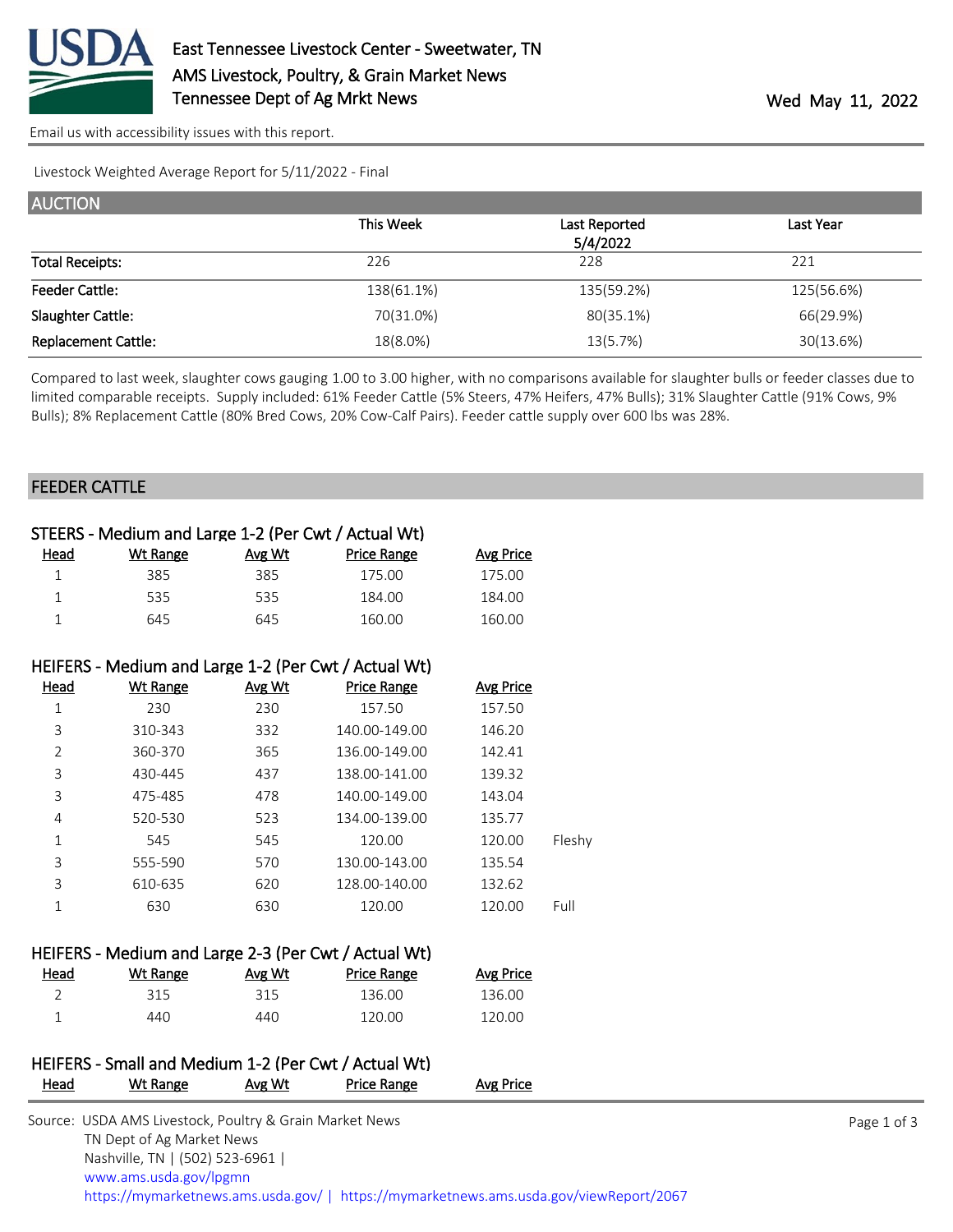

[Email us with accessibility issues with this report.](mailto:mars@ams.usda.gov?subject=508%20issue)

Livestock Weighted Average Report for 5/11/2022 - Final

| <b>AUCTION</b>             |            |               |            |
|----------------------------|------------|---------------|------------|
|                            | This Week  | Last Reported | Last Year  |
|                            |            | 5/4/2022      |            |
| <b>Total Receipts:</b>     | 226        | 228           | 221        |
| <b>Feeder Cattle:</b>      | 138(61.1%) | 135(59.2%)    | 125(56.6%) |
| Slaughter Cattle:          | 70(31.0%)  | 80(35.1%)     | 66(29.9%)  |
| <b>Replacement Cattle:</b> | 18(8.0%)   | 13(5.7%)      | 30(13.6%)  |

Compared to last week, slaughter cows gauging 1.00 to 3.00 higher, with no comparisons available for slaughter bulls or feeder classes due to limited comparable receipts. Supply included: 61% Feeder Cattle (5% Steers, 47% Heifers, 47% Bulls); 31% Slaughter Cattle (91% Cows, 9% Bulls); 8% Replacement Cattle (80% Bred Cows, 20% Cow-Calf Pairs). Feeder cattle supply over 600 lbs was 28%.

## FEEDER CATTLE

| STEERS - Medium and Large 1-2 (Per Cwt / Actual Wt)  |                 |        |                                                      |                  |        |  |
|------------------------------------------------------|-----------------|--------|------------------------------------------------------|------------------|--------|--|
| <u>Head</u>                                          | <b>Wt Range</b> | Avg Wt | <b>Price Range</b>                                   | <b>Avg Price</b> |        |  |
| $\mathbf{1}$                                         | 385             | 385    | 175.00                                               | 175.00           |        |  |
| $\mathbf{1}$                                         | 535             | 535    | 184.00                                               | 184.00           |        |  |
| $\mathbf{1}$                                         | 645             | 645    | 160.00                                               | 160.00           |        |  |
|                                                      |                 |        |                                                      |                  |        |  |
|                                                      |                 |        | HEIFERS - Medium and Large 1-2 (Per Cwt / Actual Wt) |                  |        |  |
| Head                                                 | <b>Wt Range</b> | Avg Wt | <b>Price Range</b>                                   | <b>Avg Price</b> |        |  |
| $\mathbf 1$                                          | 230             | 230    | 157.50                                               | 157.50           |        |  |
| 3                                                    | 310-343         | 332    | 140.00-149.00                                        | 146.20           |        |  |
| $\overline{2}$                                       | 360-370         | 365    | 136.00-149.00                                        | 142.41           |        |  |
| 3                                                    | 430-445         | 437    | 138.00-141.00                                        | 139.32           |        |  |
| $\overline{3}$                                       | 475-485         | 478    | 140.00-149.00                                        | 143.04           |        |  |
| 4                                                    | 520-530         | 523    | 134.00-139.00                                        | 135.77           |        |  |
| $\mathbf{1}$                                         | 545             | 545    | 120.00                                               | 120.00           | Fleshy |  |
| 3                                                    | 555-590         | 570    | 130.00-143.00                                        | 135.54           |        |  |
| 3                                                    | 610-635         | 620    | 128.00-140.00                                        | 132.62           |        |  |
| $\mathbf{1}$                                         | 630             | 630    | 120.00                                               | 120.00           | Full   |  |
| HEIFERS - Medium and Large 2-3 (Per Cwt / Actual Wt) |                 |        |                                                      |                  |        |  |
| <b>Head</b>                                          | <b>Wt Range</b> | Avg Wt | <b>Price Range</b>                                   | <b>Avg Price</b> |        |  |
| $\overline{2}$                                       | 315             | 315    | 136.00                                               | 136.00           |        |  |
| 1                                                    | 440             | 440    | 120.00                                               | 120.00           |        |  |
|                                                      |                 |        |                                                      |                  |        |  |

## HEIFERS - Small and Medium 1-2 (Per Cwt / Actual Wt) Head Wt Range Avg Wt Price Range Avg Price

| Source: USDA AMS Livestock, Poultry & Grain Market News                                |
|----------------------------------------------------------------------------------------|
| TN Dept of Ag Market News                                                              |
| Nashville, TN   (502) 523-6961                                                         |
| www.ams.usda.gov/lpgmn                                                                 |
| https://mymarketnews.ams.usda.gov/   https://mymarketnews.ams.usda.gov/viewReport/2067 |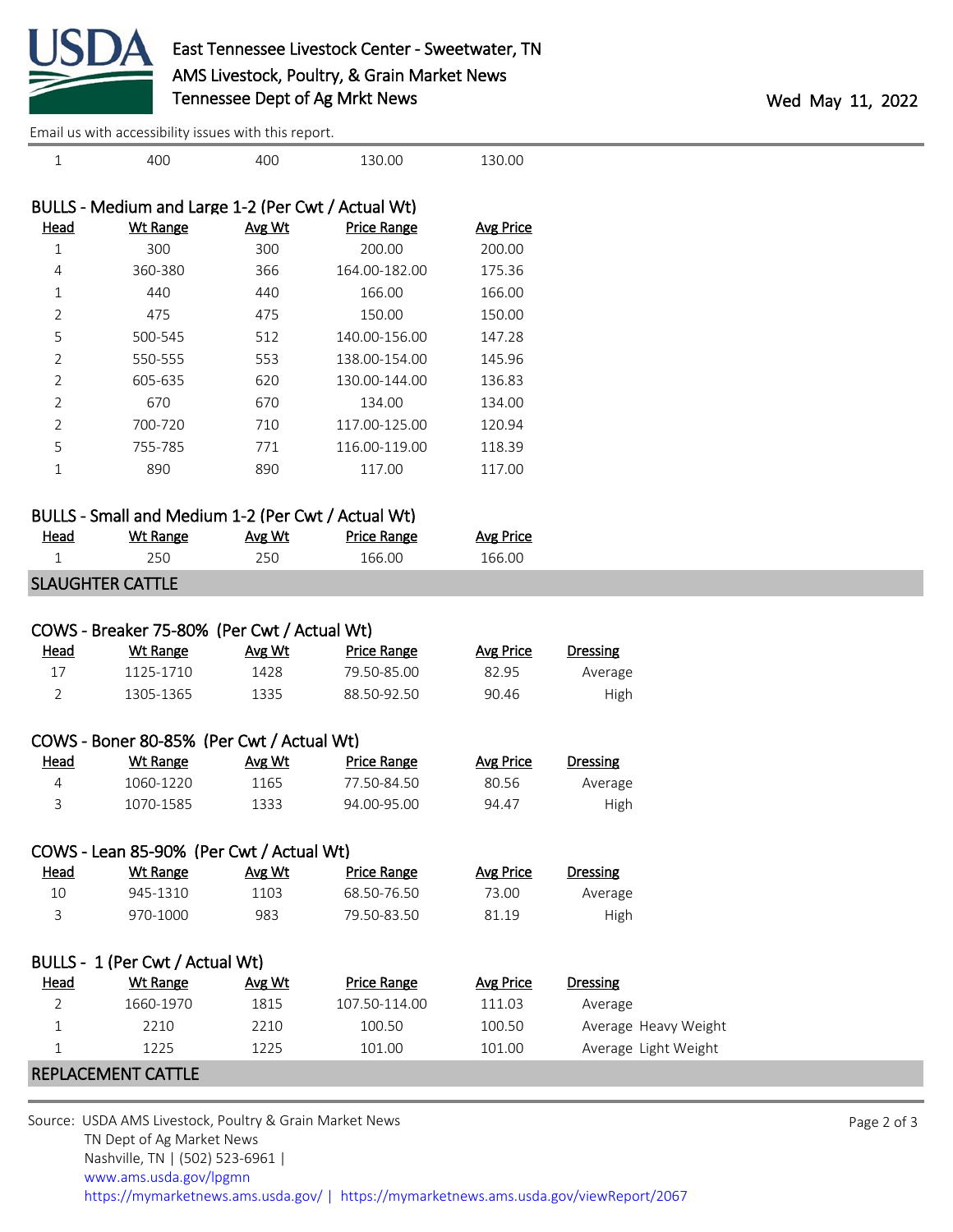

[Email us with accessibility issues with this report.](mailto:mars@ams.usda.gov?subject=508%20issue)

| $\mathbf{1}$   | Lindii us with accessibility issues with this report.<br>400 | 400    | 130.00             | 130.00           |                      |
|----------------|--------------------------------------------------------------|--------|--------------------|------------------|----------------------|
|                |                                                              |        |                    |                  |                      |
|                | BULLS - Medium and Large 1-2 (Per Cwt / Actual Wt)           |        |                    |                  |                      |
| <b>Head</b>    | <b>Wt Range</b>                                              | Avg Wt | <b>Price Range</b> | <b>Avg Price</b> |                      |
| $1\,$          | 300                                                          | 300    | 200.00             | 200.00           |                      |
| 4              | 360-380                                                      | 366    | 164.00-182.00      | 175.36           |                      |
| 1              | 440                                                          | 440    | 166.00             | 166.00           |                      |
| 2              | 475                                                          | 475    | 150.00             | 150.00           |                      |
| 5              | 500-545                                                      | 512    | 140.00-156.00      | 147.28           |                      |
| 2              | 550-555                                                      | 553    | 138.00-154.00      | 145.96           |                      |
| 2              | 605-635                                                      | 620    | 130.00-144.00      | 136.83           |                      |
| $\overline{2}$ | 670                                                          | 670    | 134.00             | 134.00           |                      |
| $\overline{2}$ | 700-720                                                      | 710    | 117.00-125.00      | 120.94           |                      |
| 5              | 755-785                                                      | 771    | 116.00-119.00      | 118.39           |                      |
| $\mathbf{1}$   | 890                                                          | 890    | 117.00             | 117.00           |                      |
|                | BULLS - Small and Medium 1-2 (Per Cwt / Actual Wt)           |        |                    |                  |                      |
| Head           | <b>Wt Range</b>                                              | Avg Wt | <b>Price Range</b> | <b>Avg Price</b> |                      |
| 1              | 250                                                          | 250    | 166.00             | 166.00           |                      |
|                | <b>SLAUGHTER CATTLE</b>                                      |        |                    |                  |                      |
|                |                                                              |        |                    |                  |                      |
|                | COWS - Breaker 75-80% (Per Cwt / Actual Wt)                  |        |                    |                  |                      |
| <b>Head</b>    | <b>Wt Range</b>                                              | Avg Wt | <b>Price Range</b> | <b>Avg Price</b> | <b>Dressing</b>      |
| 17             | 1125-1710                                                    | 1428   | 79.50-85.00        | 82.95            | Average              |
| $\overline{2}$ | 1305-1365                                                    | 1335   | 88.50-92.50        | 90.46            | High                 |
|                |                                                              |        |                    |                  |                      |
|                | COWS - Boner 80-85% (Per Cwt / Actual Wt)                    |        |                    |                  |                      |
| <b>Head</b>    | <b>Wt Range</b>                                              | Avg Wt | <b>Price Range</b> | <b>Avg Price</b> | <b>Dressing</b>      |
| 4              | 1060-1220                                                    | 1165   | 77.50-84.50        | 80.56            | Average              |
| 3              | 1070-1585                                                    | 1333   | 94.00-95.00        | 94.47            | High                 |
|                | COWS - Lean 85-90% (Per Cwt / Actual Wt)                     |        |                    |                  |                      |
| <b>Head</b>    | <b>Wt Range</b>                                              | Avg Wt | <b>Price Range</b> | <b>Avg Price</b> | <b>Dressing</b>      |
| 10             | 945-1310                                                     | 1103   | 68.50-76.50        | 73.00            | Average              |
| 3              | 970-1000                                                     | 983    | 79.50-83.50        | 81.19            | High                 |
|                | BULLS - 1 (Per Cwt / Actual Wt)                              |        |                    |                  |                      |
| <b>Head</b>    | <b>Wt Range</b>                                              | Avg Wt | <b>Price Range</b> | <b>Avg Price</b> | Dressing             |
| $\overline{2}$ | 1660-1970                                                    | 1815   | 107.50-114.00      | 111.03           | Average              |
| $\mathbf 1$    | 2210                                                         | 2210   | 100.50             | 100.50           | Average Heavy Weight |
| $\mathbf{1}$   | 1225                                                         | 1225   | 101.00             | 101.00           | Average Light Weight |
|                |                                                              |        |                    |                  |                      |
|                | REPLACEMENT CATTLE                                           |        |                    |                  |                      |